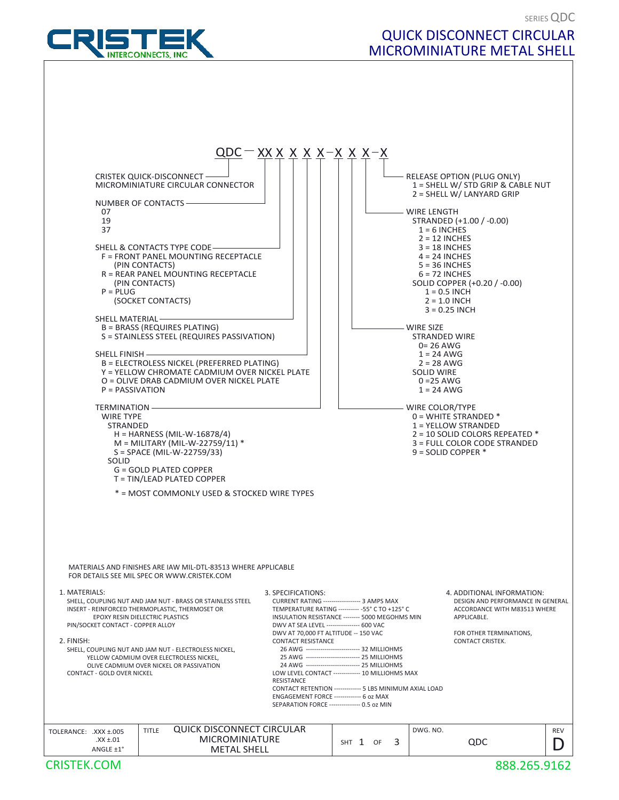

## QUICK DISCONNECT CIRCULAR MICROMINIATURE METAL SHELL

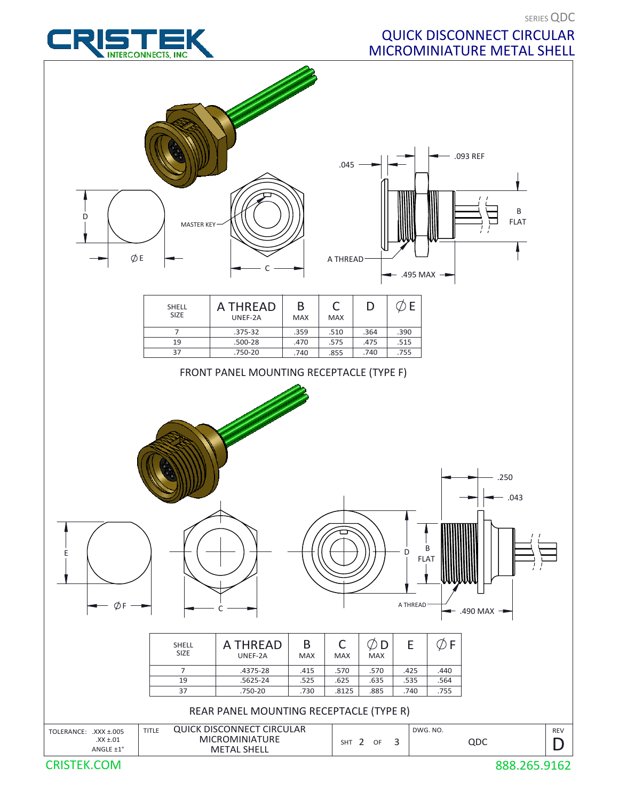SERIES QDC

## QUICK DISCONNECT CIRCULAR MICROMINIATURE METAL SHELL





CRISTEK.COM

888.265.9162